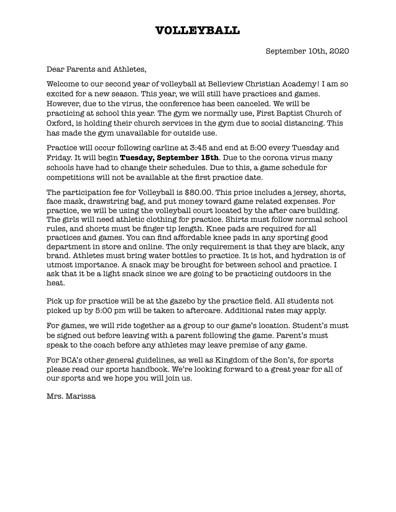## **VOLLEYBALL**

Dear Parents and Athletes,

Welcome to our second year of volleyball at Belleview Christian Academy! I am so excited for a new season. This year, we will still have practices and games. However, due to the virus, the conference has been canceled. We will be practicing at school this year. The gym we normally use, First Baptist Church of Oxford, is holding their church services in the gym due to social distancing. This has made the gym unavailable for outside use.

Practice will occur following carline at 3:45 and end at 5:00 every Tuesday and Friday. It will begin **Tuesday, September 15th**. Due to the corona virus many schools have had to change their schedules. Due to this, a game schedule for competitions will not be available at the first practice date.

The participation fee for Volleyball is \$80.00. This price includes a jersey, shorts, face mask, drawstring bag, and put money toward game related expenses. For practice, we will be using the volleyball court located by the after care building. The girls will need athletic clothing for practice. Shirts must follow normal school rules, and shorts must be finger tip length. Knee pads are required for all practices and games. You can find affordable knee pads in any sporting good department in store and online. The only requirement is that they are black, any brand. Athletes must bring water bottles to practice. It is hot, and hydration is of utmost importance. A snack may be brought for between school and practice. I ask that it be a light snack since we are going to be practicing outdoors in the heat.

Pick up for practice will be at the gazebo by the practice field. All students not picked up by 5:00 pm will be taken to aftercare. Additional rates may apply.

For games, we will ride together as a group to our game's location. Student's must be signed out before leaving with a parent following the game. Parent's must speak to the coach before any athletes may leave premise of any game.

For BCA's other general guidelines, as well as Kingdom of the Son's, for sports please read our sports handbook. We're looking forward to a great year for all of our sports and we hope you will join us.

Mrs. Marissa